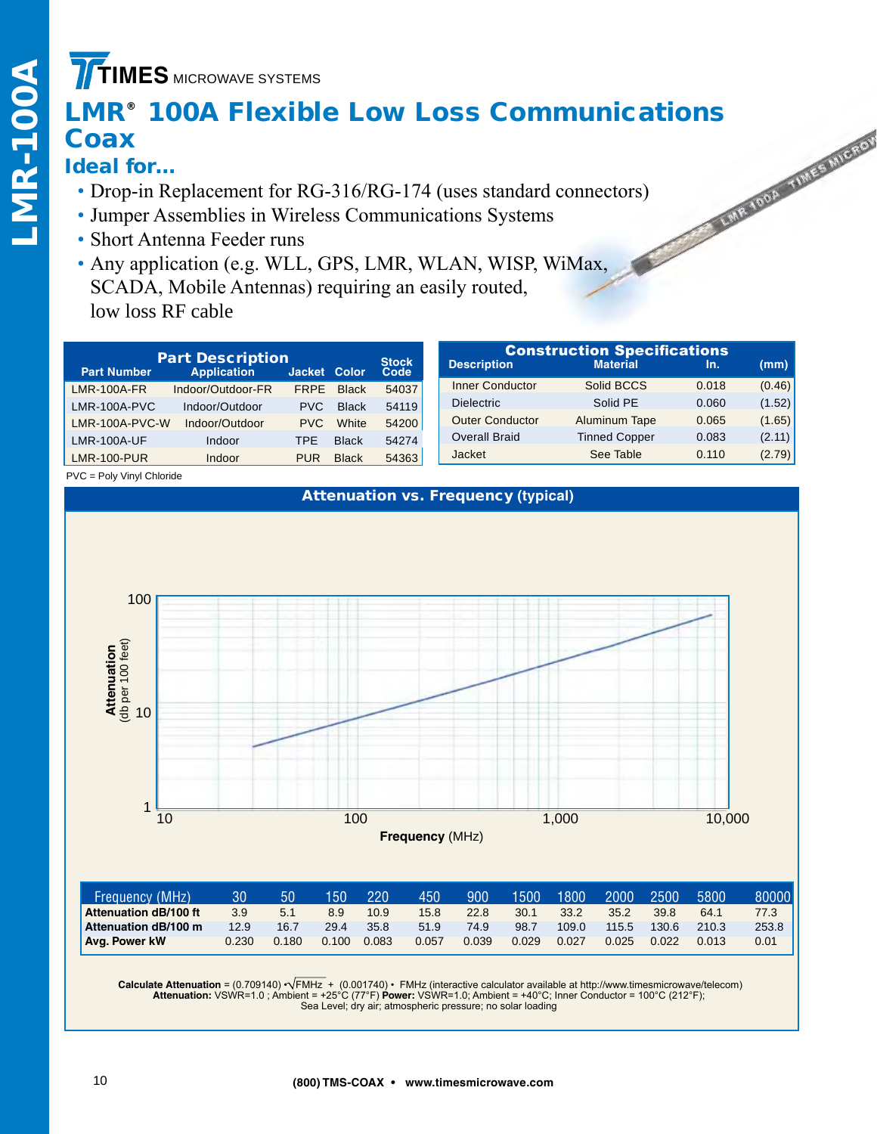## **TIMES** MICROWAVE SYSTEMS

# **LMR® 100A Flexible Low Loss Communications**<br> **Coax**<br> **Ideal for...**<br>
• Drop-in Replacement for RG-316/RG-174 (uses standard connectors)<br>
• Jumper Assemblies in Wireless Communications System Sections<br>
• Short Antenna Feed **Coax**

- Drop-in Replacement for RG-316/RG-174 (uses standard connectors)
- Jumper Assemblies in Wireless Communications Systems
- Short Antenna Feeder runs
- Any application (e.g. WLL, GPS, LMR, WLAN, WISP, WiMax, SCADA, Mobile Antennas) requiring an easily routed, low loss RF cable

|                    | <b>Part Description</b> |              |              |                      |                        | <b>Construction Specifications</b> |       |        |
|--------------------|-------------------------|--------------|--------------|----------------------|------------------------|------------------------------------|-------|--------|
| <b>Part Number</b> | <b>Application</b>      | Jacket Color |              | <b>Stock</b><br>Code | <b>Description</b>     | <b>Material</b>                    | In.   | (mm)   |
| <b>LMR-100A-FR</b> | Indoor/Outdoor-FR       | <b>FRPE</b>  | <b>Black</b> | 54037                | <b>Inner Conductor</b> | Solid BCCS                         | 0.018 | (0.46) |
| $LMR-100A-PVC$     | Indoor/Outdoor          | <b>PVC</b>   | <b>Black</b> | 54119                | <b>Dielectric</b>      | Solid PE                           | 0.060 | (1.52) |
| $LMR-100A-PVC-W$   | Indoor/Outdoor          | <b>PVC</b>   | White        | 54200                | <b>Outer Conductor</b> | Aluminum Tape                      | 0.065 | (1.65) |
| <b>LMR-100A-UF</b> | Indoor                  | TPE          | <b>Black</b> | 54274                | <b>Overall Braid</b>   | <b>Tinned Copper</b>               | 0.083 | (2.11) |
| <b>LMR-100-PUR</b> | Indoor                  | <b>PUR</b>   | <b>Black</b> | 54363                | Jacket                 | See Table                          | 0.110 | (2.79) |
| ____ _             |                         |              |              |                      |                        |                                    |       |        |

#### PVC = Poly Vinyl Chloride

### Attenuation vs. Frequency **(typical)**



| Frequency (MHz)       | 30    | 50    | 150   | 220   | 450   | 900   | 1500  | 1800  | 2000  | 2500  | 5800  | $80000$ $\mid$ |
|-----------------------|-------|-------|-------|-------|-------|-------|-------|-------|-------|-------|-------|----------------|
| Attenuation dB/100 ft | 3.9   | 5.1   | 8.9   | 10.9  | 15.8  | 22.8  | 30.1  | 33.2  | 35.2  | 39.8  | 64.1  | 77.3           |
| Attenuation dB/100 m  | 12.9  | 16.7  | 29.4  | 35.8  | 51.9  | 74.9  | 98.7  | 109.0 | 115.5 | 130.6 | 210.3 | 253.8          |
| <b>Avg. Power kW</b>  | 0.230 | 0.180 | 0.100 | 0.083 | 0.057 | 0.039 | 0.029 | 0.027 | 0.025 | 0.022 | 0.013 | 0.01           |

Calculate Attenuation = (0.709140) • √FMHz + (0.001740) • FMHz (interactive calculator available at http://www.timesmicrowave/telecom)<br>Attenuation: VSWR=1.0 ; Ambient = +25°C (77°F) Power: VSWR=1.0; Ambient = +40°C; Inner Sea Level; dry air; atmospheric pressure; no solar loading